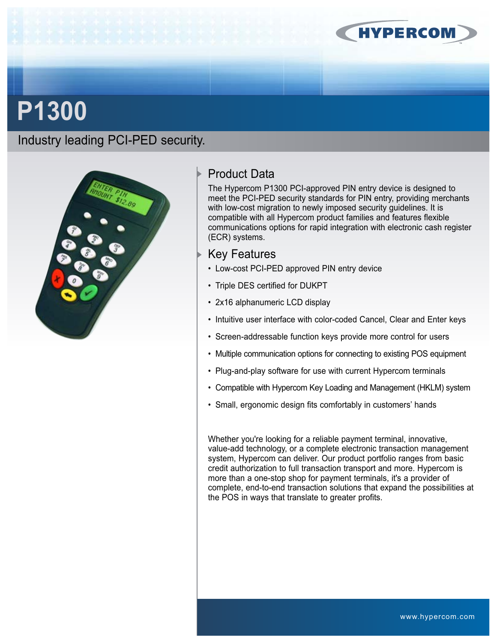

# **P1300**

Industry leading PCI-PED security.



# Product Data

The Hypercom P1300 PCI-approved PIN entry device is designed to meet the PCI-PED security standards for PIN entry, providing merchants with low-cost migration to newly imposed security quidelines. It is compatible with all Hypercom product families and features flexible communications options for rapid integration with electronic cash register (ECR) systems.

## Key Features

- Low-cost PCI-PED approved PIN entry device
- Triple DES certified for DUKPT
- 2x16 alphanumeric LCD display
- Intuitive user interface with color-coded Cancel, Clear and Enter keys
- Screen-addressable function keys provide more control for users
- Multiple communication options for connecting to existing POS equipment
- Plug-and-play software for use with current Hypercom terminals
- Compatible with Hypercom Key Loading and Management (HKLM) system
- Small, ergonomic design fits comfortably in customers' hands

Whether you're looking for a reliable payment terminal, innovative, value-add technology, or a complete electronic transaction management system, Hypercom can deliver. Our product portfolio ranges from basic credit authorization to full transaction transport and more. Hypercom is more than a one-stop shop for payment terminals, it's a provider of complete, end-to-end transaction solutions that expand the possibilities at the POS in ways that translate to greater profits.